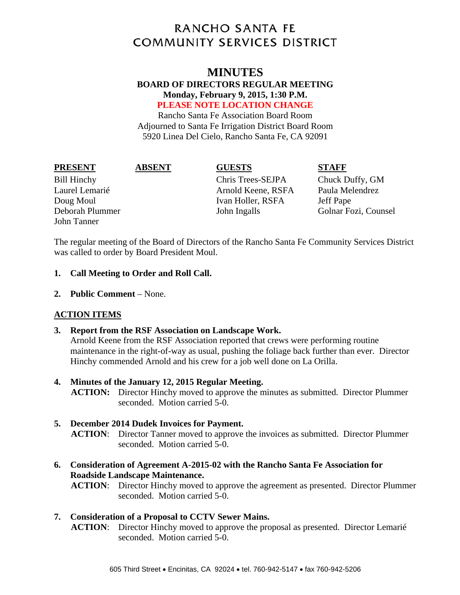# **RANCHO SANTA FE COMMUNITY SERVICES DISTRICT**

## **MINUTES**

#### **BOARD OF DIRECTORS REGULAR MEETING Monday, February 9, 2015, 1:30 P.M. PLEASE NOTE LOCATION CHANGE**

Rancho Santa Fe Association Board Room Adjourned to Santa Fe Irrigation District Board Room 5920 Linea Del Cielo, Rancho Santa Fe, CA 92091

| FRESEN I |  |  |
|----------|--|--|
|          |  |  |

#### **PRESENT ABSENT GUESTS STAFF**

John Tanner

Bill Hinchy Chris Trees-SEJPA Chuck Duffy, GM Laurel Lemarié Arnold Keene, RSFA Paula Melendrez Doug Moul **Ivan Holler, RSFA** Jeff Pape Deborah Plummer John Ingalls Golnar Fozi, Counsel

The regular meeting of the Board of Directors of the Rancho Santa Fe Community Services District was called to order by Board President Moul.

#### **1. Call Meeting to Order and Roll Call.**

**2. Public Comment** – None.

### **ACTION ITEMS**

### **3. Report from the RSF Association on Landscape Work.**

Arnold Keene from the RSF Association reported that crews were performing routine maintenance in the right-of-way as usual, pushing the foliage back further than ever. Director Hinchy commended Arnold and his crew for a job well done on La Orilla.

### **4. Minutes of the January 12, 2015 Regular Meeting.**

**ACTION:** Director Hinchy moved to approve the minutes as submitted. Director Plummer seconded. Motion carried 5-0.

#### **5. December 2014 Dudek Invoices for Payment.**

**ACTION**: Director Tanner moved to approve the invoices as submitted. Director Plummer seconded. Motion carried 5-0.

**6. Consideration of Agreement A-2015-02 with the Rancho Santa Fe Association for Roadside Landscape Maintenance.** 

**ACTION**: Director Hinchy moved to approve the agreement as presented. Director Plummer seconded. Motion carried 5-0.

### **7. Consideration of a Proposal to CCTV Sewer Mains.**

**ACTION**: Director Hinchy moved to approve the proposal as presented. Director Lemarié seconded. Motion carried 5-0.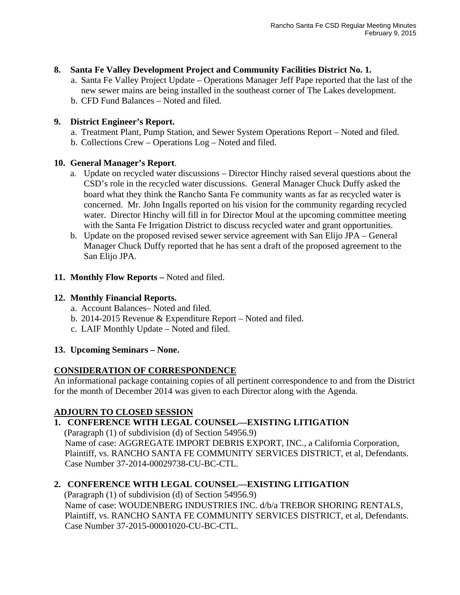#### **8. Santa Fe Valley Development Project and Community Facilities District No. 1.**

a. Santa Fe Valley Project Update – Operations Manager Jeff Pape reported that the last of the new sewer mains are being installed in the southeast corner of The Lakes development. b. CFD Fund Balances – Noted and filed.

#### **9. District Engineer's Report.**

- a. Treatment Plant, Pump Station, and Sewer System Operations Report Noted and filed.
- b. Collections Crew Operations Log Noted and filed.

#### **10. General Manager's Report**.

- a. Update on recycled water discussions Director Hinchy raised several questions about the CSD's role in the recycled water discussions. General Manager Chuck Duffy asked the board what they think the Rancho Santa Fe community wants as far as recycled water is concerned. Mr. John Ingalls reported on his vision for the community regarding recycled water. Director Hinchy will fill in for Director Moul at the upcoming committee meeting with the Santa Fe Irrigation District to discuss recycled water and grant opportunities.
- b. Update on the proposed revised sewer service agreement with San Elijo JPA General Manager Chuck Duffy reported that he has sent a draft of the proposed agreement to the San Elijo JPA.
- **11. Monthly Flow Reports –** Noted and filed.

#### **12. Monthly Financial Reports.**

- a. Account Balances– Noted and filed.
- b. 2014-2015 Revenue & Expenditure Report Noted and filed.
- c. LAIF Monthly Update Noted and filed.

#### **13. Upcoming Seminars – None.**

### **CONSIDERATION OF CORRESPONDENCE**

An informational package containing copies of all pertinent correspondence to and from the District for the month of December 2014 was given to each Director along with the Agenda.

### **ADJOURN TO CLOSED SESSION**

### **1. CONFERENCE WITH LEGAL COUNSEL—EXISTING LITIGATION**

(Paragraph (1) of subdivision (d) of Section 54956.9) Name of case: AGGREGATE IMPORT DEBRIS EXPORT, INC., a California Corporation, Plaintiff, vs. RANCHO SANTA FE COMMUNITY SERVICES DISTRICT, et al, Defendants. Case Number 37-2014-00029738-CU-BC-CTL.

### **2. CONFERENCE WITH LEGAL COUNSEL—EXISTING LITIGATION**

(Paragraph (1) of subdivision (d) of Section 54956.9) Name of case: WOUDENBERG INDUSTRIES INC. d/b/a TREBOR SHORING RENTALS, Plaintiff, vs. RANCHO SANTA FE COMMUNITY SERVICES DISTRICT, et al, Defendants. Case Number 37-2015-00001020-CU-BC-CTL.